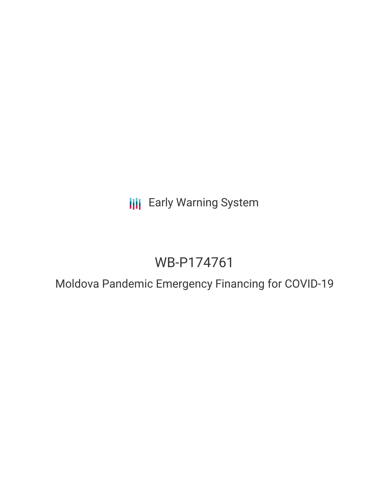**III** Early Warning System

# WB-P174761

Moldova Pandemic Emergency Financing for COVID-19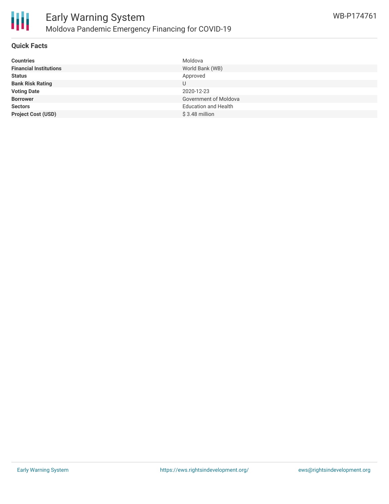

### **Quick Facts**

| <b>Countries</b>              | Moldova                     |
|-------------------------------|-----------------------------|
| <b>Financial Institutions</b> | World Bank (WB)             |
| <b>Status</b>                 | Approved                    |
| <b>Bank Risk Rating</b>       |                             |
| <b>Voting Date</b>            | 2020-12-23                  |
| <b>Borrower</b>               | Government of Moldova       |
| <b>Sectors</b>                | <b>Education and Health</b> |
| <b>Project Cost (USD)</b>     | $$3.48$ million             |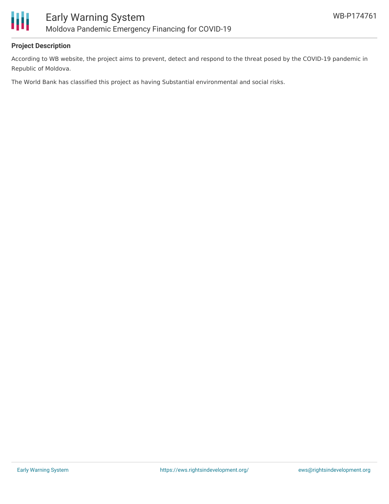

## **Project Description**

According to WB website, the project aims to prevent, detect and respond to the threat posed by the COVID-19 pandemic in Republic of Moldova.

The World Bank has classified this project as having Substantial environmental and social risks.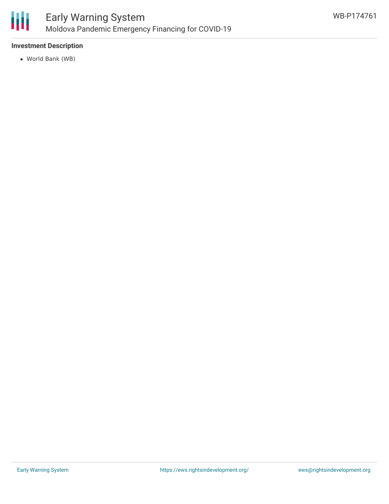

## **Investment Description**

World Bank (WB)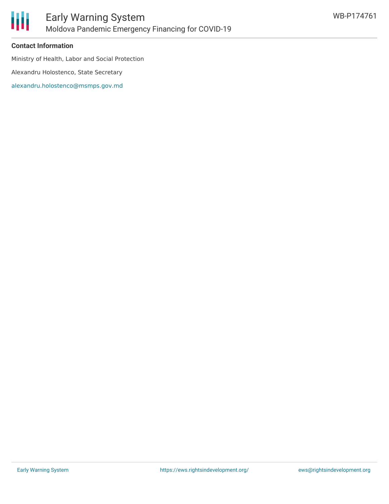

### **Contact Information**

Ministry of Health, Labor and Social Protection

Alexandru Holostenco, State Secretary

[alexandru.holostenco@msmps.gov.md](mailto:alexandru.holostenco@msmps.gov.md)